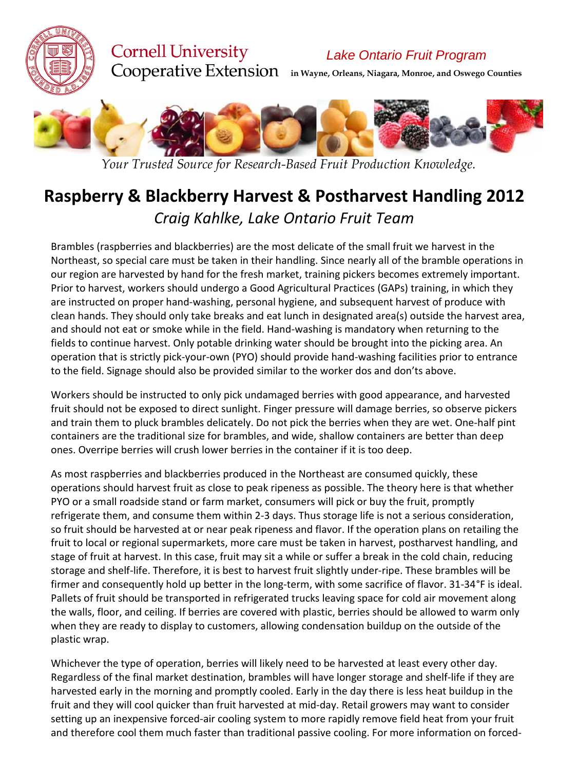

## **Cornell University**

*Lake Ontario Fruit Program*

**in Wayne, Orleans, Niagara, Monroe, and Oswego Counties**



*Your Trusted Source for Research-Based Fruit Production Knowledge.*

## **Raspberry & Blackberry Harvest & Postharvest Handling 2012** *Craig Kahlke, Lake Ontario Fruit Team*

Brambles (raspberries and blackberries) are the most delicate of the small fruit we harvest in the Northeast, so special care must be taken in their handling. Since nearly all of the bramble operations in our region are harvested by hand for the fresh market, training pickers becomes extremely important. Prior to harvest, workers should undergo a Good Agricultural Practices (GAPs) training, in which they are instructed on proper hand‐washing, personal hygiene, and subsequent harvest of produce with clean hands. They should only take breaks and eat lunch in designated area(s) outside the harvest area, and should not eat or smoke while in the field. Hand‐washing is mandatory when returning to the fields to continue harvest. Only potable drinking water should be brought into the picking area. An operation that is strictly pick‐your‐own (PYO) should provide hand‐washing facilities prior to entrance to the field. Signage should also be provided similar to the worker dos and don'ts above.

Workers should be instructed to only pick undamaged berries with good appearance, and harvested fruit should not be exposed to direct sunlight. Finger pressure will damage berries, so observe pickers and train them to pluck brambles delicately. Do not pick the berries when they are wet. One‐half pint containers are the traditional size for brambles, and wide, shallow containers are better than deep ones. Overripe berries will crush lower berries in the container if it is too deep.

As most raspberries and blackberries produced in the Northeast are consumed quickly, these operations should harvest fruit as close to peak ripeness as possible. The theory here is that whether PYO or a small roadside stand or farm market, consumers will pick or buy the fruit, promptly refrigerate them, and consume them within 2‐3 days. Thus storage life is not a serious consideration, so fruit should be harvested at or near peak ripeness and flavor. If the operation plans on retailing the fruit to local or regional supermarkets, more care must be taken in harvest, postharvest handling, and stage of fruit at harvest. In this case, fruit may sit a while or suffer a break in the cold chain, reducing storage and shelf‐life. Therefore, it is best to harvest fruit slightly under‐ripe. These brambles will be firmer and consequently hold up better in the long-term, with some sacrifice of flavor. 31-34°F is ideal. Pallets of fruit should be transported in refrigerated trucks leaving space for cold air movement along the walls, floor, and ceiling. If berries are covered with plastic, berries should be allowed to warm only when they are ready to display to customers, allowing condensation buildup on the outside of the plastic wrap.

Whichever the type of operation, berries will likely need to be harvested at least every other day. Regardless of the final market destination, brambles will have longer storage and shelf‐life if they are harvested early in the morning and promptly cooled. Early in the day there is less heat buildup in the fruit and they will cool quicker than fruit harvested at mid‐day. Retail growers may want to consider setting up an inexpensive forced-air cooling system to more rapidly remove field heat from your fruit and therefore cool them much faster than traditional passive cooling. For more information on forced-